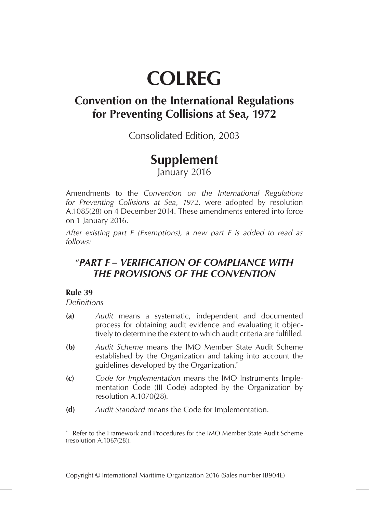# **COLREG**

# **Convention on the International Regulations for Preventing Collisions at Sea, 1972**

Consolidated Edition, 2003

# **Supplement**

January 2016

Amendments to the *Convention on the International Regulations for Preventing Collisions at Sea, 1972*, were adopted by resolution A.1085(28) on 4 December 2014. These amendments entered into force on 1 January 2016.

*After existing part E (Exemptions), a new part F is added to read as follows:*

## "*PART F – VERIFICATION OF COMPLIANCE WITH THE PROVISIONS OF THE CONVENTION*

### **Rule 39**

*Definitions*

- **(a)** *Audit* means a systematic, independent and documented process for obtaining audit evidence and evaluating it objectively to determine the extent to which audit criteria are fulfilled.
- **(b)** *Audit Scheme* means the IMO Member State Audit Scheme established by the Organization and taking into account the guidelines developed by the Organization.\*
- **(c)** *Code for Implementation* means the IMO Instruments Implementation Code (III Code) adopted by the Organization by resolution A.1070(28).
- **(d)** *Audit Standard* means the Code for Implementation.

<sup>\*</sup> Refer to the Framework and Procedures for the IMO Member State Audit Scheme (resolution A.1067(28)).